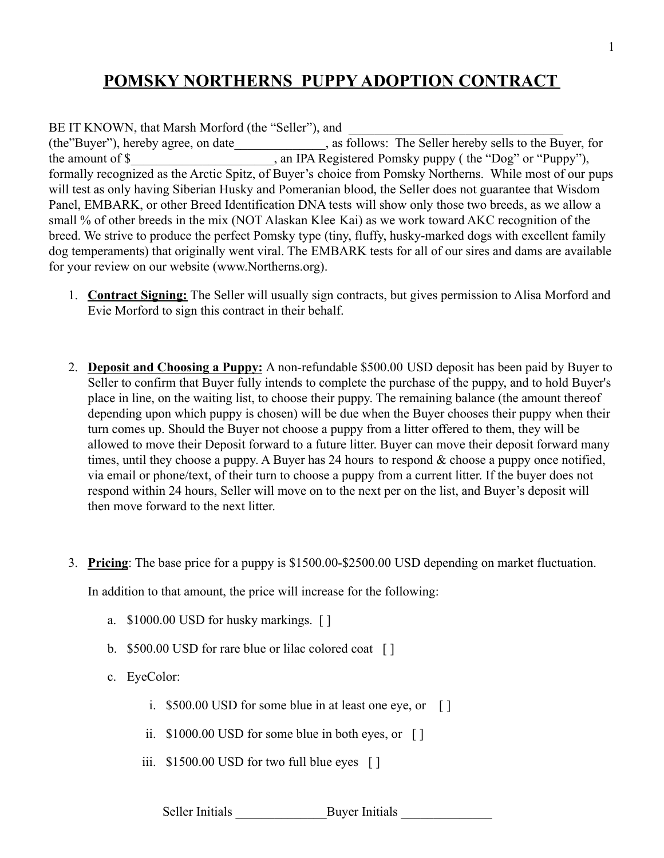# **POMSKY NORTHERNS PUPPY ADOPTION CONTRACT**

BE IT KNOWN, that Marsh Morford (the "Seller"), and (the"Buyer"), hereby agree, on date\_\_\_\_\_\_\_\_\_\_\_\_\_\_, as follows: The Seller hereby sells to the Buyer, for the amount of \$ and IPA Registered Pomsky puppy ( the "Dog" or "Puppy"), formally recognized as the Arctic Spitz, of Buyer's choice from Pomsky Northerns. While most of our pups will test as only having Siberian Husky and Pomeranian blood, the Seller does not guarantee that Wisdom Panel, EMBARK, or other Breed Identification DNA tests will show only those two breeds, as we allow a small % of other breeds in the mix (NOT Alaskan Klee Kai) as we work toward AKC recognition of the breed. We strive to produce the perfect Pomsky type (tiny, fluffy, husky-marked dogs with excellent family dog temperaments) that originally went viral. The EMBARK tests for all of our sires and dams are available for your review on our website (www.Northerns.org).

- 1. **Contract Signing:** The Seller will usually sign contracts, but gives permission to Alisa Morford and Evie Morford to sign this contract in their behalf.
- 2. **Deposit and Choosing a Puppy:** A non-refundable \$500.00 USD deposit has been paid by Buyer to Seller to confirm that Buyer fully intends to complete the purchase of the puppy, and to hold Buyer's place in line, on the waiting list, to choose their puppy. The remaining balance (the amount thereof depending upon which puppy is chosen) will be due when the Buyer chooses their puppy when their turn comes up. Should the Buyer not choose a puppy from a litter offered to them, they will be allowed to move their Deposit forward to a future litter. Buyer can move their deposit forward many times, until they choose a puppy. A Buyer has 24 hours to respond  $\&$  choose a puppy once notified, via email or phone/text, of their turn to choose a puppy from a current litter. If the buyer does not respond within 24 hours, Seller will move on to the next per on the list, and Buyer's deposit will then move forward to the next litter.
- 3. **Pricing**: The base price for a puppy is \$1500.00-\$2500.00 USD depending on market fluctuation.

In addition to that amount, the price will increase for the following:

- a. \$1000.00 USD for husky markings. [ ]
- b. \$500.00 USD for rare blue or lilac colored coat [ ]
- c. EyeColor:
	- i. \$500.00 USD for some blue in at least one eye, or [ ]
	- ii. \$1000.00 USD for some blue in both eyes, or [ ]
	- iii. \$1500.00 USD for two full blue eyes [ ]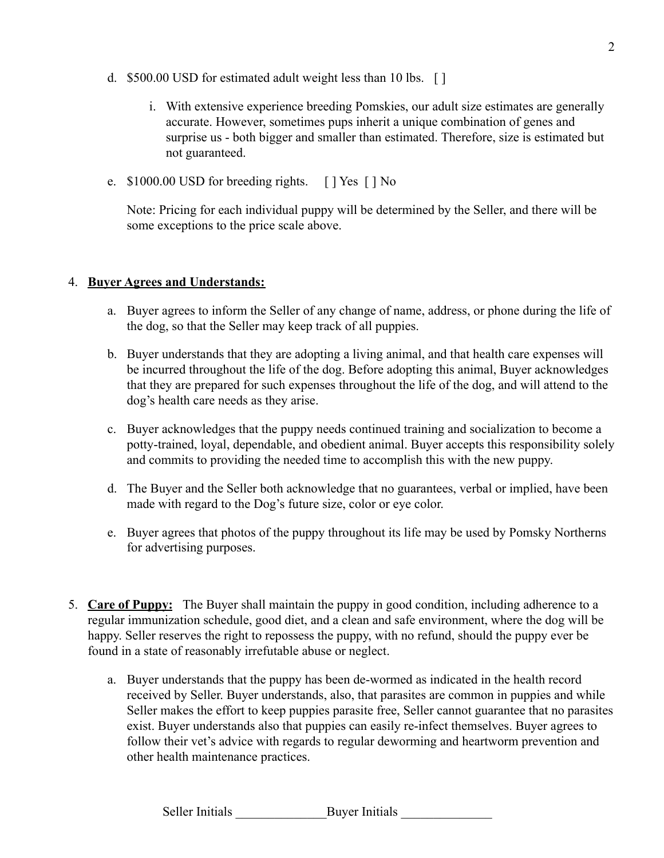- d. \$500.00 USD for estimated adult weight less than 10 lbs. [ ]
	- i. With extensive experience breeding Pomskies, our adult size estimates are generally accurate. However, sometimes pups inherit a unique combination of genes and surprise us - both bigger and smaller than estimated. Therefore, size is estimated but not guaranteed.
- e. \$1000.00 USD for breeding rights. [ ] Yes [ ] No

Note: Pricing for each individual puppy will be determined by the Seller, and there will be some exceptions to the price scale above.

### 4. **Buyer Agrees and Understands:**

- a. Buyer agrees to inform the Seller of any change of name, address, or phone during the life of the dog, so that the Seller may keep track of all puppies.
- b. Buyer understands that they are adopting a living animal, and that health care expenses will be incurred throughout the life of the dog. Before adopting this animal, Buyer acknowledges that they are prepared for such expenses throughout the life of the dog, and will attend to the dog's health care needs as they arise.
- c. Buyer acknowledges that the puppy needs continued training and socialization to become a potty-trained, loyal, dependable, and obedient animal. Buyer accepts this responsibility solely and commits to providing the needed time to accomplish this with the new puppy.
- d. The Buyer and the Seller both acknowledge that no guarantees, verbal or implied, have been made with regard to the Dog's future size, color or eye color.
- e. Buyer agrees that photos of the puppy throughout its life may be used by Pomsky Northerns for advertising purposes.
- 5. **Care of Puppy:** The Buyer shall maintain the puppy in good condition, including adherence to a regular immunization schedule, good diet, and a clean and safe environment, where the dog will be happy. Seller reserves the right to repossess the puppy, with no refund, should the puppy ever be found in a state of reasonably irrefutable abuse or neglect.
	- a. Buyer understands that the puppy has been de-wormed as indicated in the health record received by Seller. Buyer understands, also, that parasites are common in puppies and while Seller makes the effort to keep puppies parasite free, Seller cannot guarantee that no parasites exist. Buyer understands also that puppies can easily re-infect themselves. Buyer agrees to follow their vet's advice with regards to regular deworming and heartworm prevention and other health maintenance practices.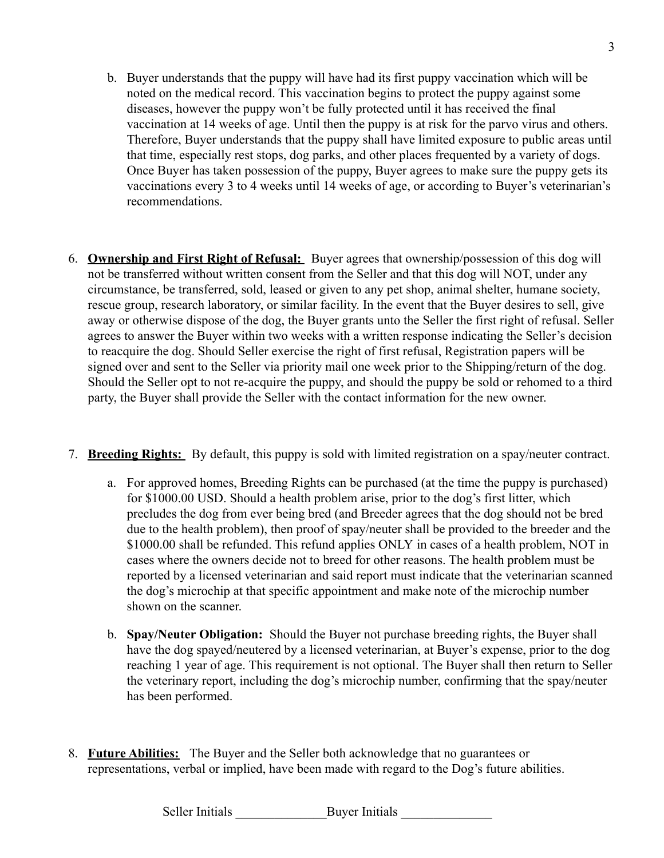- b. Buyer understands that the puppy will have had its first puppy vaccination which will be noted on the medical record. This vaccination begins to protect the puppy against some diseases, however the puppy won't be fully protected until it has received the final vaccination at 14 weeks of age. Until then the puppy is at risk for the parvo virus and others. Therefore, Buyer understands that the puppy shall have limited exposure to public areas until that time, especially rest stops, dog parks, and other places frequented by a variety of dogs. Once Buyer has taken possession of the puppy, Buyer agrees to make sure the puppy gets its vaccinations every 3 to 4 weeks until 14 weeks of age, or according to Buyer's veterinarian's recommendations.
- 6. **Ownership and First Right of Refusal:** Buyer agrees that ownership/possession of this dog will not be transferred without written consent from the Seller and that this dog will NOT, under any circumstance, be transferred, sold, leased or given to any pet shop, animal shelter, humane society, rescue group, research laboratory, or similar facility. In the event that the Buyer desires to sell, give away or otherwise dispose of the dog, the Buyer grants unto the Seller the first right of refusal. Seller agrees to answer the Buyer within two weeks with a written response indicating the Seller's decision to reacquire the dog. Should Seller exercise the right of first refusal, Registration papers will be signed over and sent to the Seller via priority mail one week prior to the Shipping/return of the dog. Should the Seller opt to not re-acquire the puppy, and should the puppy be sold or rehomed to a third party, the Buyer shall provide the Seller with the contact information for the new owner.
- 7. **Breeding Rights:** By default, this puppy is sold with limited registration on a spay/neuter contract.
	- a. For approved homes, Breeding Rights can be purchased (at the time the puppy is purchased) for \$1000.00 USD. Should a health problem arise, prior to the dog's first litter, which precludes the dog from ever being bred (and Breeder agrees that the dog should not be bred due to the health problem), then proof of spay/neuter shall be provided to the breeder and the \$1000.00 shall be refunded. This refund applies ONLY in cases of a health problem, NOT in cases where the owners decide not to breed for other reasons. The health problem must be reported by a licensed veterinarian and said report must indicate that the veterinarian scanned the dog's microchip at that specific appointment and make note of the microchip number shown on the scanner.
	- b. **Spay/Neuter Obligation:** Should the Buyer not purchase breeding rights, the Buyer shall have the dog spayed/neutered by a licensed veterinarian, at Buyer's expense, prior to the dog reaching 1 year of age. This requirement is not optional. The Buyer shall then return to Seller the veterinary report, including the dog's microchip number, confirming that the spay/neuter has been performed.
- 8. **Future Abilities:** The Buyer and the Seller both acknowledge that no guarantees or representations, verbal or implied, have been made with regard to the Dog's future abilities.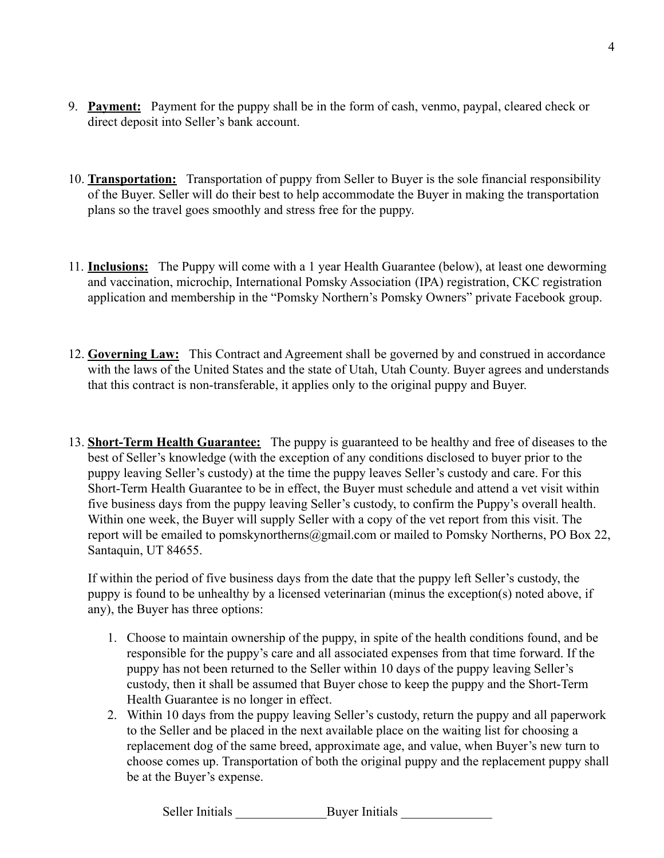- 9. **Payment:** Payment for the puppy shall be in the form of cash, venmo, paypal, cleared check or direct deposit into Seller's bank account.
- 10. **Transportation:** Transportation of puppy from Seller to Buyer is the sole financial responsibility of the Buyer. Seller will do their best to help accommodate the Buyer in making the transportation plans so the travel goes smoothly and stress free for the puppy.
- 11. **Inclusions:** The Puppy will come with a 1 year Health Guarantee (below), at least one deworming and vaccination, microchip, International Pomsky Association (IPA) registration, CKC registration application and membership in the "Pomsky Northern's Pomsky Owners" private Facebook group.
- 12. **Governing Law:** This Contract and Agreement shall be governed by and construed in accordance with the laws of the United States and the state of Utah, Utah County. Buyer agrees and understands that this contract is non-transferable, it applies only to the original puppy and Buyer.
- 13. **Short-Term Health Guarantee:** The puppy is guaranteed to be healthy and free of diseases to the best of Seller's knowledge (with the exception of any conditions disclosed to buyer prior to the puppy leaving Seller's custody) at the time the puppy leaves Seller's custody and care. For this Short-Term Health Guarantee to be in effect, the Buyer must schedule and attend a vet visit within five business days from the puppy leaving Seller's custody, to confirm the Puppy's overall health. Within one week, the Buyer will supply Seller with a copy of the vet report from this visit. The report will be emailed to pomskynortherns@gmail.com or mailed to Pomsky Northerns, PO Box 22, Santaquin, UT 84655.

If within the period of five business days from the date that the puppy left Seller's custody, the puppy is found to be unhealthy by a licensed veterinarian (minus the exception(s) noted above, if any), the Buyer has three options:

- 1. Choose to maintain ownership of the puppy, in spite of the health conditions found, and be responsible for the puppy's care and all associated expenses from that time forward. If the puppy has not been returned to the Seller within 10 days of the puppy leaving Seller's custody, then it shall be assumed that Buyer chose to keep the puppy and the Short-Term Health Guarantee is no longer in effect.
- 2. Within 10 days from the puppy leaving Seller's custody, return the puppy and all paperwork to the Seller and be placed in the next available place on the waiting list for choosing a replacement dog of the same breed, approximate age, and value, when Buyer's new turn to choose comes up. Transportation of both the original puppy and the replacement puppy shall be at the Buyer's expense.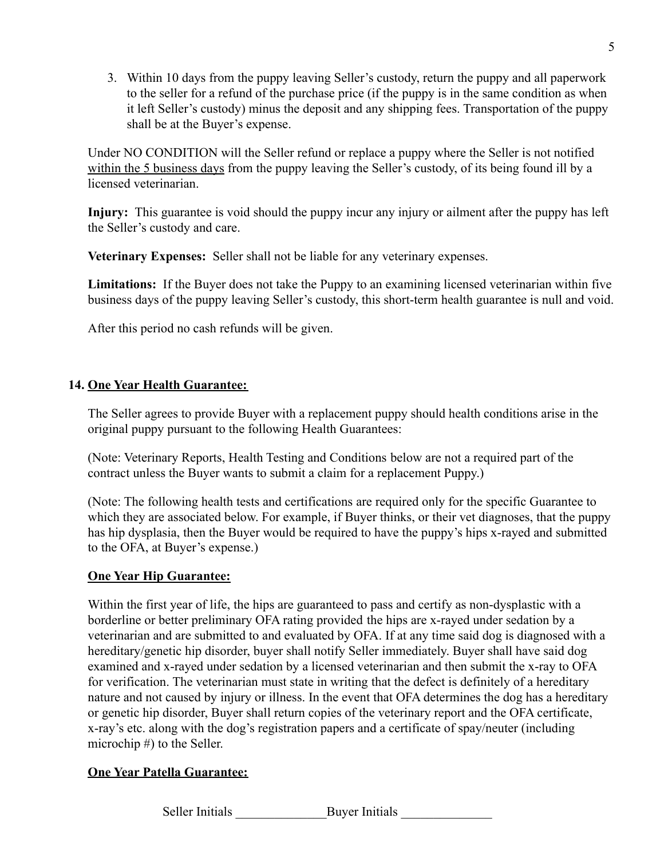3. Within 10 days from the puppy leaving Seller's custody, return the puppy and all paperwork to the seller for a refund of the purchase price (if the puppy is in the same condition as when it left Seller's custody) minus the deposit and any shipping fees. Transportation of the puppy shall be at the Buyer's expense.

Under NO CONDITION will the Seller refund or replace a puppy where the Seller is not notified within the 5 business days from the puppy leaving the Seller's custody, of its being found ill by a licensed veterinarian.

**Injury:** This guarantee is void should the puppy incur any injury or ailment after the puppy has left the Seller's custody and care.

**Veterinary Expenses:** Seller shall not be liable for any veterinary expenses.

**Limitations:** If the Buyer does not take the Puppy to an examining licensed veterinarian within five business days of the puppy leaving Seller's custody, this short-term health guarantee is null and void.

After this period no cash refunds will be given.

### **14. One Year Health Guarantee:**

The Seller agrees to provide Buyer with a replacement puppy should health conditions arise in the original puppy pursuant to the following Health Guarantees:

(Note: Veterinary Reports, Health Testing and Conditions below are not a required part of the contract unless the Buyer wants to submit a claim for a replacement Puppy.)

(Note: The following health tests and certifications are required only for the specific Guarantee to which they are associated below. For example, if Buyer thinks, or their vet diagnoses, that the puppy has hip dysplasia, then the Buyer would be required to have the puppy's hips x-rayed and submitted to the OFA, at Buyer's expense.)

#### **One Year Hip Guarantee:**

Within the first year of life, the hips are guaranteed to pass and certify as non-dysplastic with a borderline or better preliminary OFA rating provided the hips are x-rayed under sedation by a veterinarian and are submitted to and evaluated by OFA. If at any time said dog is diagnosed with a hereditary/genetic hip disorder, buyer shall notify Seller immediately. Buyer shall have said dog examined and x-rayed under sedation by a licensed veterinarian and then submit the x-ray to OFA for verification. The veterinarian must state in writing that the defect is definitely of a hereditary nature and not caused by injury or illness. In the event that OFA determines the dog has a hereditary or genetic hip disorder, Buyer shall return copies of the veterinary report and the OFA certificate, x-ray's etc. along with the dog's registration papers and a certificate of spay/neuter (including microchip #) to the Seller.

### **One Year Patella Guarantee:**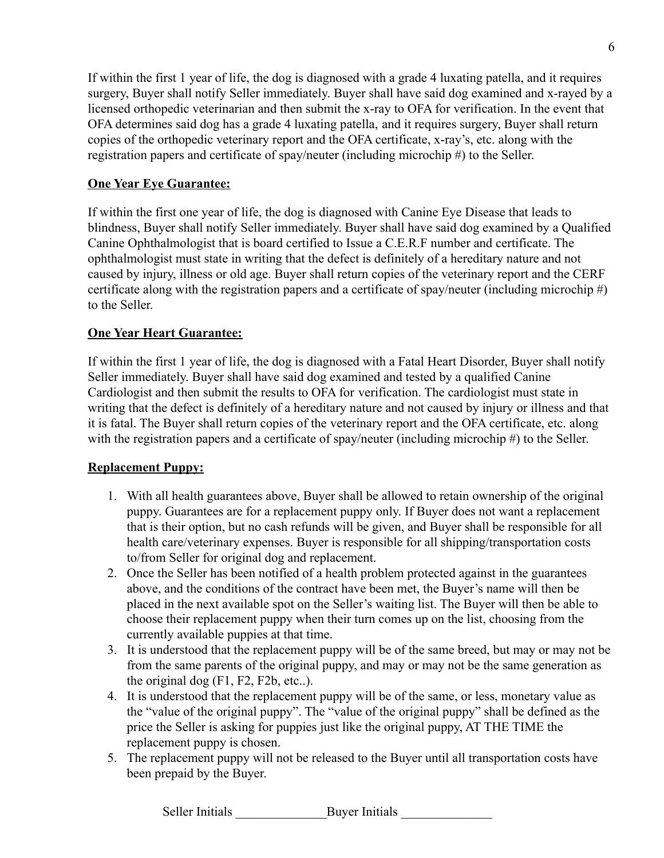If within the first 1 year of life, the dog is diagnosed with a grade 4 luxating patella, and it requires surgery, Buyer shall notify Seller immediately. Buyer shall have said dog examined and x-rayed by a licensed orthopedic veterinarian and then submit the x-ray to OFA for verification. In the event that OFA determines said dog has a grade 4 luxating patella, and it requires surgery, Buyer shall return copies of the orthopedic veterinary report and the OFA certificate, x-ray's, etc. along with the registration papers and certificate of spay/neuter (including microchip #) to the Seller.

## **One Year Eye Guarantee:**

If within the first one year of life, the dog is diagnosed with Canine Eye Disease that leads to blindness, Buyer shall notify Seller immediately. Buyer shall have said dog examined by a Qualified Canine Ophthalmologist that is board certified to Issue a C.E.R.F number and certificate. The ophthalmologist must state in writing that the defect is definitely of a hereditary nature and not caused by injury, illness or old age. Buyer shall return copies of the veterinary report and the CERF certificate along with the registration papers and a certificate of spay/neuter (including microchip #) to the Seller.

## **One Year Heart Guarantee:**

If within the first 1 year of life, the dog is diagnosed with a Fatal Heart Disorder, Buyer shall notify Seller immediately. Buyer shall have said dog examined and tested by a qualified Canine Cardiologist and then submit the results to OFA for verification. The cardiologist must state in writing that the defect is definitely of a hereditary nature and not caused by injury or illness and that it is fatal. The Buyer shall return copies of the veterinary report and the OFA certificate, etc. along with the registration papers and a certificate of spay/neuter (including microchip #) to the Seller.

### **Replacement Puppy:**

- 1. With all health guarantees above, Buyer shall be allowed to retain ownership of the original puppy. Guarantees are for a replacement puppy only. If Buyer does not want a replacement that is their option, but no cash refunds will be given, and Buyer shall be responsible for all health care/veterinary expenses. Buyer is responsible for all shipping/transportation costs to/from Seller for original dog and replacement.
- 2. Once the Seller has been notified of a health problem protected against in the guarantees above, and the conditions of the contract have been met, the Buyer's name will then be placed in the next available spot on the Seller's waiting list. The Buyer will then be able to choose their replacement puppy when their turn comes up on the list, choosing from the currently available puppies at that time.
- 3. It is understood that the replacement puppy will be of the same breed, but may or may not be from the same parents of the original puppy, and may or may not be the same generation as the original dog (F1, F2, F2b, etc..).
- 4. It is understood that the replacement puppy will be of the same, or less, monetary value as the "value of the original puppy". The "value of the original puppy" shall be defined as the price the Seller is asking for puppies just like the original puppy, AT THE TIME the replacement puppy is chosen.
- 5. The replacement puppy will not be released to the Buyer until all transportation costs have been prepaid by the Buyer.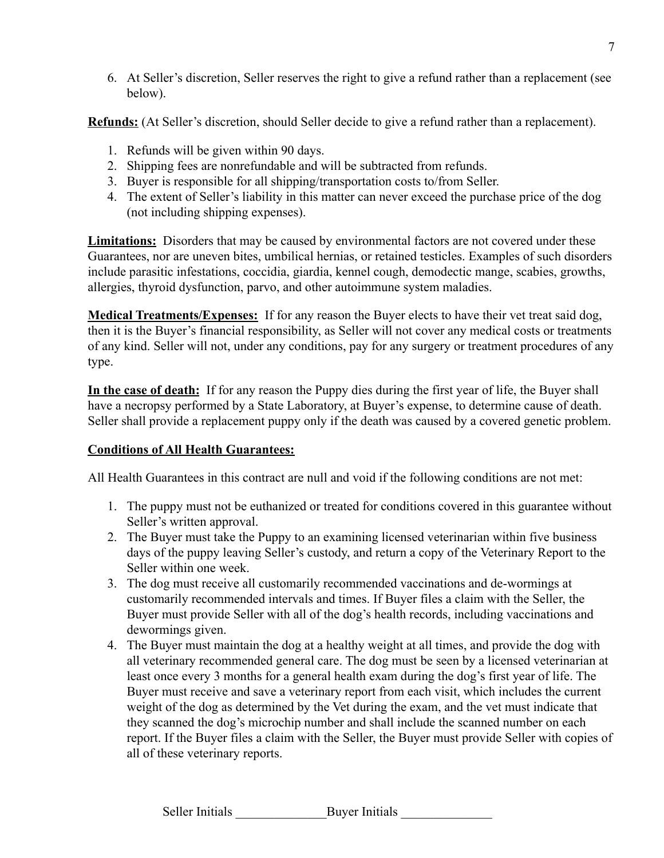6. At Seller's discretion, Seller reserves the right to give a refund rather than a replacement (see below).

**Refunds:** (At Seller's discretion, should Seller decide to give a refund rather than a replacement).

- 1. Refunds will be given within 90 days.
- 2. Shipping fees are nonrefundable and will be subtracted from refunds.
- 3. Buyer is responsible for all shipping/transportation costs to/from Seller.
- 4. The extent of Seller's liability in this matter can never exceed the purchase price of the dog (not including shipping expenses).

**Limitations:** Disorders that may be caused by environmental factors are not covered under these Guarantees, nor are uneven bites, umbilical hernias, or retained testicles. Examples of such disorders include parasitic infestations, coccidia, giardia, kennel cough, demodectic mange, scabies, growths, allergies, thyroid dysfunction, parvo, and other autoimmune system maladies.

**Medical Treatments/Expenses:** If for any reason the Buyer elects to have their vet treat said dog, then it is the Buyer's financial responsibility, as Seller will not cover any medical costs or treatments of any kind. Seller will not, under any conditions, pay for any surgery or treatment procedures of any type.

**In the case of death:** If for any reason the Puppy dies during the first year of life, the Buyer shall have a necropsy performed by a State Laboratory, at Buyer's expense, to determine cause of death. Seller shall provide a replacement puppy only if the death was caused by a covered genetic problem.

## **Conditions of All Health Guarantees:**

All Health Guarantees in this contract are null and void if the following conditions are not met:

- 1. The puppy must not be euthanized or treated for conditions covered in this guarantee without Seller's written approval.
- 2. The Buyer must take the Puppy to an examining licensed veterinarian within five business days of the puppy leaving Seller's custody, and return a copy of the Veterinary Report to the Seller within one week.
- 3. The dog must receive all customarily recommended vaccinations and de-wormings at customarily recommended intervals and times. If Buyer files a claim with the Seller, the Buyer must provide Seller with all of the dog's health records, including vaccinations and dewormings given.
- 4. The Buyer must maintain the dog at a healthy weight at all times, and provide the dog with all veterinary recommended general care. The dog must be seen by a licensed veterinarian at least once every 3 months for a general health exam during the dog's first year of life. The Buyer must receive and save a veterinary report from each visit, which includes the current weight of the dog as determined by the Vet during the exam, and the vet must indicate that they scanned the dog's microchip number and shall include the scanned number on each report. If the Buyer files a claim with the Seller, the Buyer must provide Seller with copies of all of these veterinary reports.